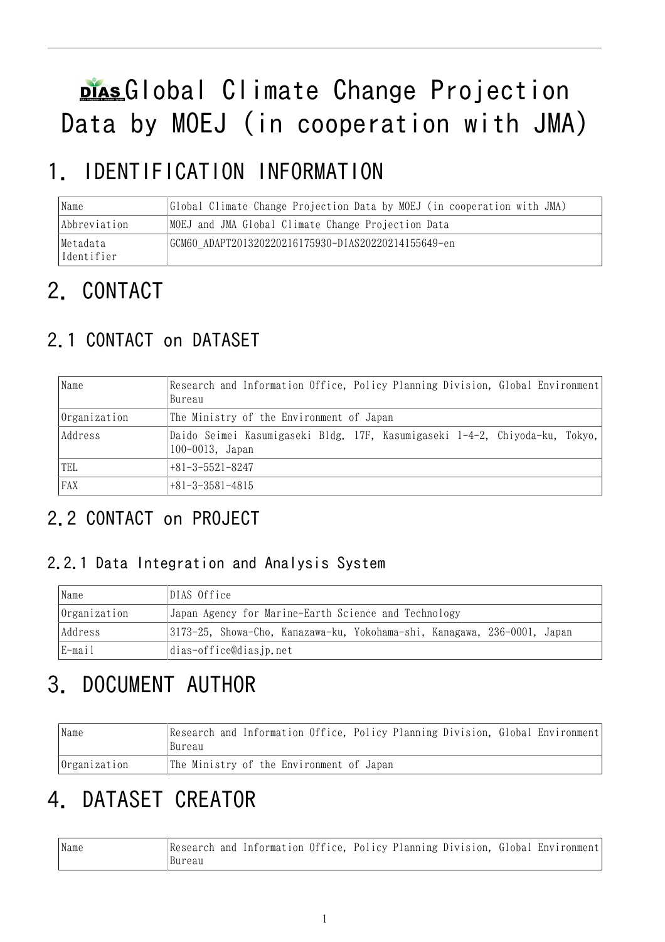# plas Global Climate Change Projection Data by MOEJ (in cooperation with JMA)

# 1. IDENTIFICATION INFORMATION

| Name                   | Global Climate Change Projection Data by MOEJ (in cooperation with JMA) |
|------------------------|-------------------------------------------------------------------------|
| Abbreviation           | MOEJ and JMA Global Climate Change Projection Data                      |
| Metadata<br>Identifier | GCM60 ADAPT201320220216175930-DIAS20220214155649-en                     |

# 2. CONTACT

## 2.1 CONTACT on DATASET

| Name         | Research and Information Office, Policy Planning Division, Global Environment<br>Bureau             |  |  |  |
|--------------|-----------------------------------------------------------------------------------------------------|--|--|--|
| Organization | The Ministry of the Environment of Japan                                                            |  |  |  |
| Address      | Daido Seimei Kasumigaseki Bldg. 17F, Kasumigaseki 1-4-2, Chiyoda-ku, Tokyo,<br>$100 - 0013$ , Japan |  |  |  |
| TEL          | $+81-3-5521-8247$                                                                                   |  |  |  |
| <b>FAX</b>   | $+81-3-3581-4815$                                                                                   |  |  |  |

## 2.2 CONTACT on PROJECT

### 2.2.1 Data Integration and Analysis System

| Name         | DIAS Office                                                              |
|--------------|--------------------------------------------------------------------------|
| Organization | Japan Agency for Marine-Earth Science and Technology                     |
| Address      | 3173-25, Showa-Cho, Kanazawa-ku, Yokohama-shi, Kanagawa, 236-0001, Japan |
| E-mail       | dias-office@dias.jp.net                                                  |

# 3. DOCUMENT AUTHOR

| Name         | Research and Information Office, Policy Planning Division, Global Environment<br>Bureau |
|--------------|-----------------------------------------------------------------------------------------|
| Organization | The Ministry of the Environment of Japan                                                |

# 4. DATASET CREATOR

| 'Name | Research and Information Office, Policy Planning Division, Global Environment |  |  |  |  |
|-------|-------------------------------------------------------------------------------|--|--|--|--|
|       | 'Bureau                                                                       |  |  |  |  |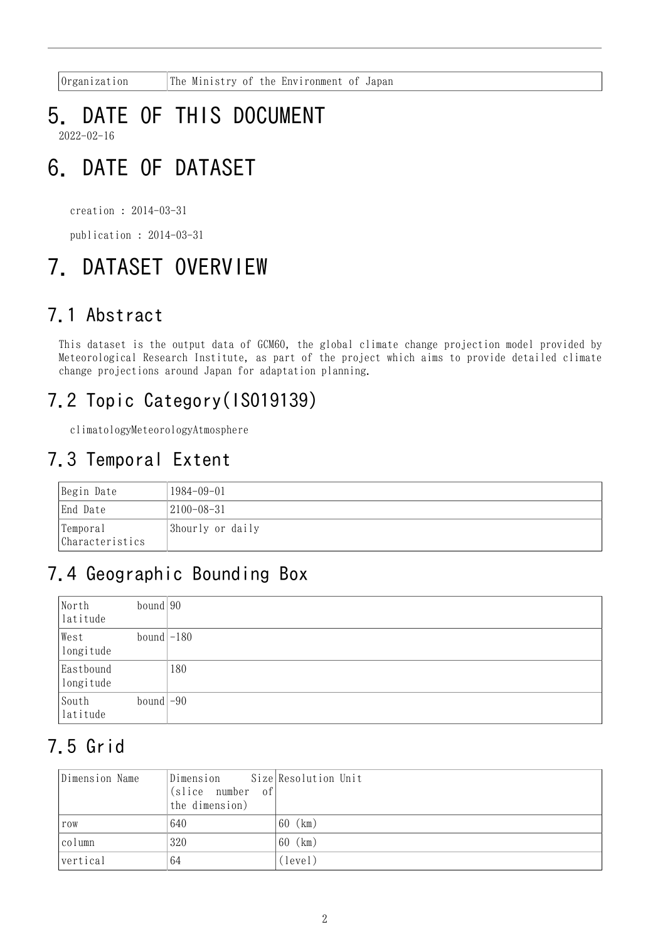Organization The Ministry of the Environment of Japan

### 5. DATE OF THIS DOCUMENT 2022-02-16

# 6. DATE OF DATASET

creation : 2014-03-31

publication : 2014-03-31

# 7. DATASET OVERVIEW

## 7.1 Abstract

This dataset is the output data of GCM60, the global climate change projection model provided by Meteorological Research Institute, as part of the project which aims to provide detailed climate change projections around Japan for adaptation planning.

## 7.2 Topic Category(ISO19139)

climatologyMeteorologyAtmosphere

## 7.3 Temporal Extent

| Begin Date                  | 1984-09-01       |
|-----------------------------|------------------|
| End Date                    | $ 2100-08-31$    |
| Temporal<br>Characteristics | 3hourly or daily |

## 7.4 Geographic Bounding Box

| North<br>latitude      | bound $90$   |     |
|------------------------|--------------|-----|
| West<br>longitude      | bound $-180$ |     |
| Eastbound<br>longitude |              | 180 |
| South<br>latitude      | bound $-90$  |     |

## 7.5 Grid

| Dimension Name | Dimension Size Resolution Unit<br>(slice number of)<br>the dimension) |            |
|----------------|-----------------------------------------------------------------------|------------|
| row            | 640                                                                   | (km)<br>60 |
| column         | 320                                                                   | (km)<br>60 |
| vertical       | 64                                                                    | (level)    |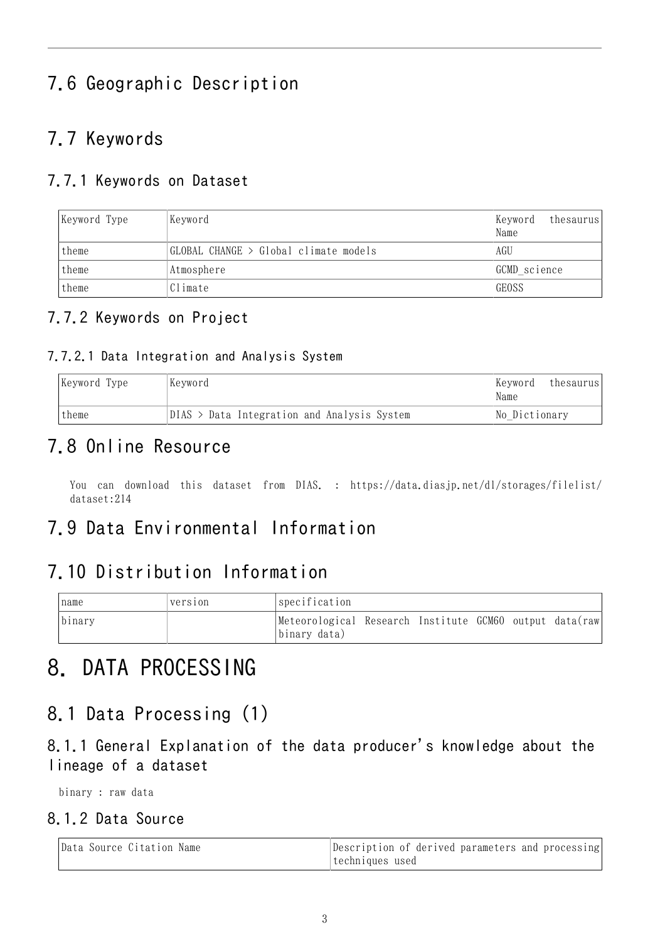## 7.6 Geographic Description

## 7.7 Keywords

### 7.7.1 Keywords on Dataset

| Keyword Type | Keyword                               | thesaurus<br>Keyword<br>Name |  |
|--------------|---------------------------------------|------------------------------|--|
| theme        | GLOBAL CHANGE > Global climate models | AGU                          |  |
| theme        | GCMD science<br>Atmosphere            |                              |  |
| theme        | Climate                               | <b>GEOSS</b>                 |  |

### 7.7.2 Keywords on Project

#### 7.7.2.1 Data Integration and Analysis System

| Keyword Type | Keyword                                     | Kevword <br>Name | thesaurus |
|--------------|---------------------------------------------|------------------|-----------|
| theme        | DIAS > Data Integration and Analysis System | No Dictionary    |           |

### 7.8 Online Resource

You can download this dataset from DIAS. : [https://data.diasjp.net/dl/storages/filelist/](https://data.diasjp.net/dl/storages/filelist/dataset:214) [dataset:214](https://data.diasjp.net/dl/storages/filelist/dataset:214)

### 7.9 Data Environmental Information

## 7.10 Distribution Information

| name   | version | specification                                                           |  |  |  |
|--------|---------|-------------------------------------------------------------------------|--|--|--|
| binary |         | Meteorological Research Institute GCM60 output data(raw<br>binary data) |  |  |  |

## 8. DATA PROCESSING

### 8.1 Data Processing (1)

8.1.1 General Explanation of the data producer's knowledge about the lineage of a dataset

binary : raw data

#### 8.1.2 Data Source

| Data Source Citation Name | Description of derived parameters and processing |
|---------------------------|--------------------------------------------------|
|                           | techniques used                                  |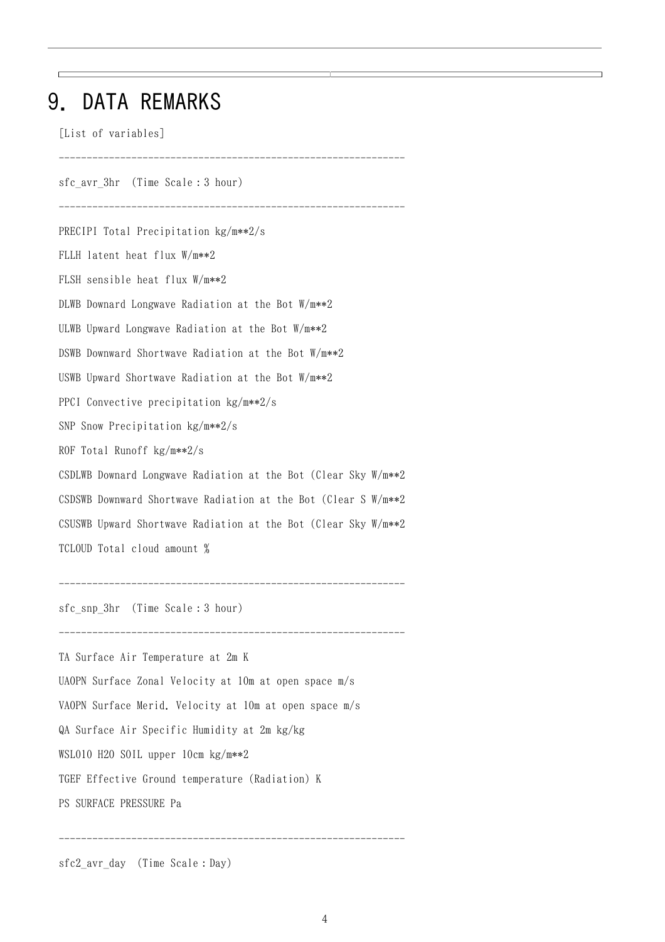## 9. DATA REMARKS

[List of variables]

sfc\_avr\_3hr (Time Scale:3 hour) -------------------------------------------------------------- PRECIPI Total Precipitation kg/m\*\*2/s FLLH latent heat flux W/m\*\*2 FLSH sensible heat flux W/m\*\*2 DLWB Downard Longwave Radiation at the Bot W/m\*\*2 ULWB Upward Longwave Radiation at the Bot W/m\*\*2 DSWB Downward Shortwave Radiation at the Bot W/m\*\*2 USWB Upward Shortwave Radiation at the Bot W/m\*\*2 PPCI Convective precipitation kg/m\*\*2/s SNP Snow Precipitation kg/m\*\*2/s ROF Total Runoff kg/m\*\*2/s CSDLWB Downard Longwave Radiation at the Bot (Clear Sky W/m\*\*2 CSDSWB Downward Shortwave Radiation at the Bot (Clear S W/m\*\*2 CSUSWB Upward Shortwave Radiation at the Bot (Clear Sky W/m\*\*2 TCLOUD Total cloud amount % ------------------------------------------------------------- sfc\_snp\_3hr (Time Scale:3 hour) -------------------------------------------------------------- TA Surface Air Temperature at 2m K UAOPN Surface Zonal Velocity at 10m at open space m/s VAOPN Surface Merid. Velocity at 10m at open space m/s QA Surface Air Specific Humidity at 2m kg/kg WSL010 H2O SOIL upper 10cm kg/m\*\*2 TGEF Effective Ground temperature (Radiation) K PS SURFACE PRESSURE Pa --------------------------------------------------------------

--------------------------------------------------------------

 $\top$ 

sfc2\_avr\_day (Time Scale:Day)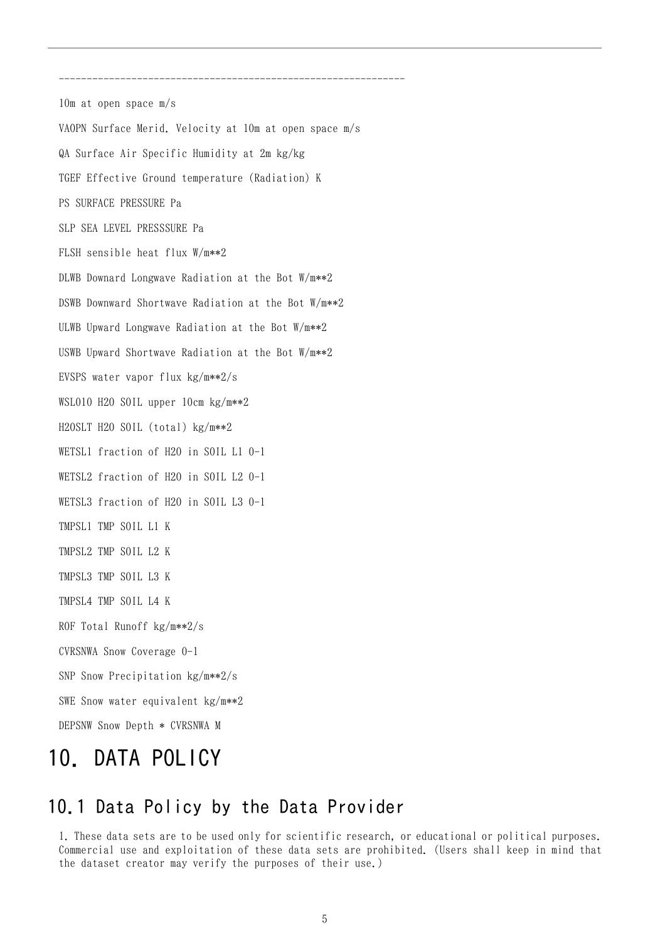10m at open space m/s VAOPN Surface Merid. Velocity at 10m at open space m/s QA Surface Air Specific Humidity at 2m kg/kg TGEF Effective Ground temperature (Radiation) K PS SURFACE PRESSURE Pa SLP SEA LEVEL PRESSSURE Pa FLSH sensible heat flux W/m\*\*2 DLWB Downard Longwave Radiation at the Bot W/m\*\*2 DSWB Downward Shortwave Radiation at the Bot W/m\*\*2 ULWB Upward Longwave Radiation at the Bot W/m\*\*2 USWB Upward Shortwave Radiation at the Bot W/m\*\*2 EVSPS water vapor flux kg/m\*\*2/s WSL010 H2O SOIL upper 10cm kg/m\*\*2 H2OSLT H2O SOIL (total) kg/m\*\*2 WETSL1 fraction of H2O in SOIL L1 0-1 WETSL2 fraction of H2O in SOIL L2 0-1 WETSL3 fraction of H2O in SOIL L3 0-1 TMPSL1 TMP SOIL L1 K TMPSL2 TMP SOIL L2 K TMPSL3 TMP SOIL L3 K TMPSL4 TMP SOIL L4 K ROF Total Runoff kg/m\*\*2/s CVRSNWA Snow Coverage 0-1 SNP Snow Precipitation kg/m\*\*2/s SWE Snow water equivalent kg/m\*\*2 DEPSNW Snow Depth \* CVRSNWA M

--------------------------------------------------------------

## 10. DATA POLICY

### 10.1 Data Policy by the Data Provider

1. These data sets are to be used only for scientific research, or educational or political purposes. Commercial use and exploitation of these data sets are prohibited. (Users shall keep in mind that the dataset creator may verify the purposes of their use.)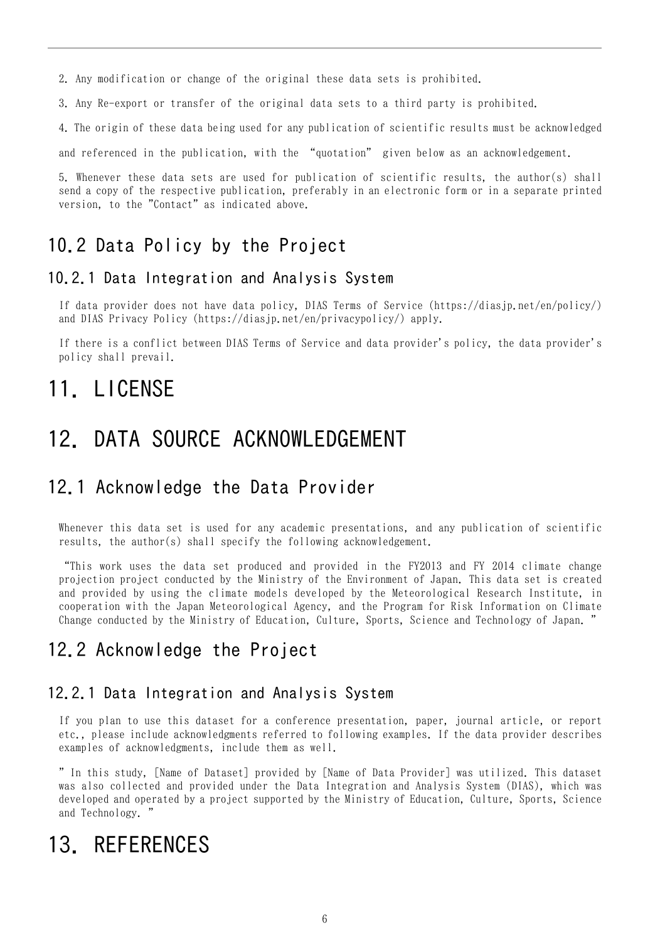2. Any modification or change of the original these data sets is prohibited.

3. Any Re-export or transfer of the original data sets to a third party is prohibited.

4. The origin of these data being used for any publication of scientific results must be acknowledged

and referenced in the publication, with the "quotation" given below as an acknowledgement.

5. Whenever these data sets are used for publication of scientific results, the author(s) shall send a copy of the respective publication, preferably in an electronic form or in a separate printed version, to the "Contact" as indicated above.

### 10.2 Data Policy by the Project

#### 10.2.1 Data Integration and Analysis System

If data provider does not have data policy, DIAS Terms of Service (https://diasjp.net/en/policy/) and DIAS Privacy Policy (https://diasjp.net/en/privacypolicy/) apply.

If there is a conflict between DIAS Terms of Service and data provider's policy, the data provider's policy shall prevail.

## 11. LICENSE

## 12. DATA SOURCE ACKNOWLEDGEMENT

### 12.1 Acknowledge the Data Provider

Whenever this data set is used for any academic presentations, and any publication of scientific results, the author(s) shall specify the following acknowledgement.

"This work uses the data set produced and provided in the FY2013 and FY 2014 climate change projection project conducted by the Ministry of the Environment of Japan. This data set is created and provided by using the climate models developed by the Meteorological Research Institute, in cooperation with the Japan Meteorological Agency, and the Program for Risk Information on Climate Change conducted by the Ministry of Education, Culture, Sports, Science and Technology of Japan. "

### 12.2 Acknowledge the Project

#### 12.2.1 Data Integration and Analysis System

If you plan to use this dataset for a conference presentation, paper, journal article, or report etc., please include acknowledgments referred to following examples. If the data provider describes examples of acknowledgments, include them as well.

" In this study, [Name of Dataset] provided by [Name of Data Provider] was utilized. This dataset was also collected and provided under the Data Integration and Analysis System (DIAS), which was developed and operated by a project supported by the Ministry of Education, Culture, Sports, Science and Technology. "

## 13. REFERENCES